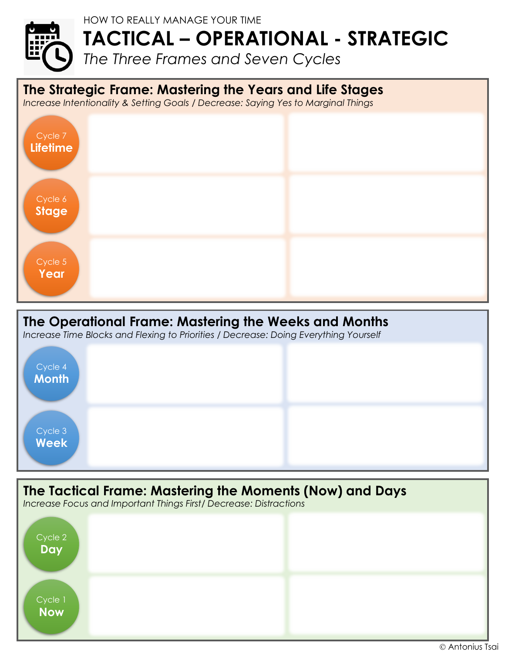## HOW TO REALLY MANAGE YOUR TIME **TACTICAL – OPERATIONAL - STRATEGIC** *The Three Frames and Seven Cycles*

**The Strategic Frame: Mastering the Years and Life Stages**

*Increase Intentionality & Setting Goals / Decrease: Saying Yes to Marginal Things*



## **The Operational Frame: Mastering the Weeks and Months**

*Increase Time Blocks and Flexing to Priorities / Decrease: Doing Everything Yourself*



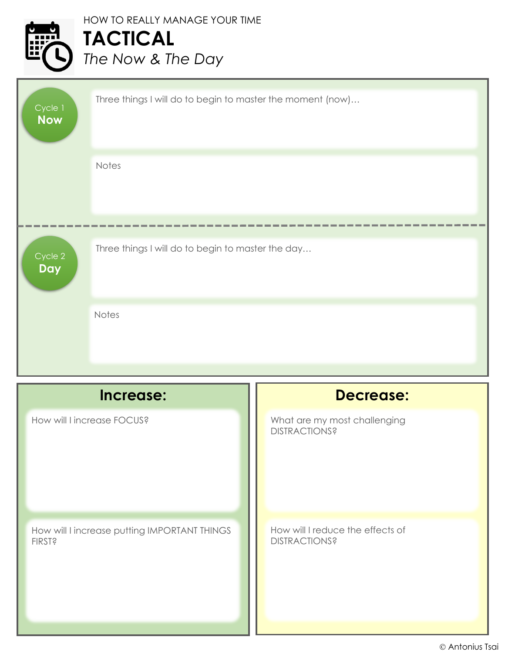|  | <b>HOW TO REALLY MANAGE YOUR TIME</b> |
|--|---------------------------------------|
|  | TACTICAL<br>The Now & The Day         |
|  |                                       |

| $C$ ycle $1$<br><b>Now</b>                                                 | Three things I will do to begin to master the moment (now) |                                                      |
|----------------------------------------------------------------------------|------------------------------------------------------------|------------------------------------------------------|
|                                                                            | Notes                                                      |                                                      |
|                                                                            |                                                            |                                                      |
| Three things I will do to begin to master the day<br>Cycle 2<br><b>Day</b> |                                                            |                                                      |
|                                                                            | <b>Notes</b>                                               |                                                      |
|                                                                            |                                                            |                                                      |
|                                                                            | Increase:                                                  | <b>Decrease:</b>                                     |
| How will I increase FOCUS?                                                 |                                                            | What are my most challenging<br><b>DISTRACTIONS?</b> |

How will I increase putting IMPORTANT THINGS FIRST?

How will I reduce the effects of **DISTRACTIONS?**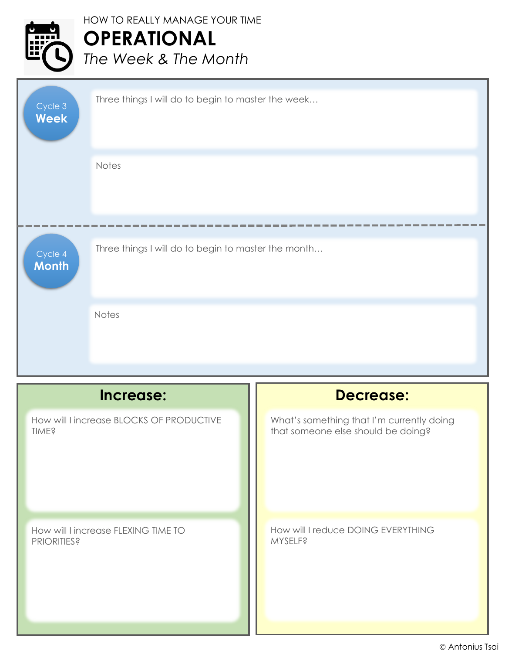## HOW TO REALLY MANAGE YOUR TIME **OPERATIONAL** *The Week & The Month*

| Cycle 3<br><b>Week</b>                                                         | Three things I will do to begin to master the week |                                                                                 |
|--------------------------------------------------------------------------------|----------------------------------------------------|---------------------------------------------------------------------------------|
|                                                                                | Notes                                              |                                                                                 |
| Three things I will do to begin to master the month<br>Cycle 4<br><b>Month</b> |                                                    |                                                                                 |
|                                                                                | Notes                                              |                                                                                 |
| Increase:                                                                      |                                                    | <b>Decrease:</b>                                                                |
| How will I increase BLOCKS OF PRODUCTIVE<br><b>TIME?</b>                       |                                                    | What's something that I'm currently doing<br>that someone else should be doing? |
| How will I increase FLEXING TIME TO<br><b>PRIORITIES?</b>                      |                                                    | How will I reduce DOING EVERYTHING<br><b>MYSELF?</b>                            |